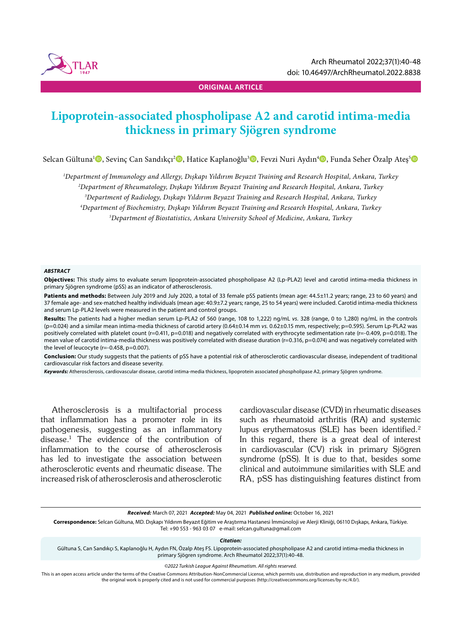

**ORIGINAL ARTICLE**

# **Lipoprotein-associated phospholipase A2 and carotid intima-media thickness in primary Sjögren syndrome**

Selcan Gültuna<sup>ı</sup> D, Sevinç Can Sandıkçı<sup>2</sup> D, Hatice Kaplanoğlu<sup>3</sup> D, Fevzi Nuri Aydın<sup>4</sup> D, Funda Seher Özalp Ateş<sup>s</sup> D

*1 Department of Immunology and Allergy, Dışkapı Yıldırım Beyazıt Training and Research Hospital, Ankara, Turkey*

*2 Department of Rheumatology, Dışkapı Yıldırım Beyazıt Training and Research Hospital, Ankara, Turkey*

*3 Department of Radiology, Dışkapı Yıldırım Beyazıt Training and Research Hospital, Ankara, Turkey*

*4 Department of Biochemistry, Dışkapı Yıldırım Beyazıt Training and Research Hospital, Ankara, Turkey*

*5 Department of Biostatistics, Ankara University School of Medicine, Ankara, Turkey*

#### *ABSTRACT*

**Objectives:** This study aims to evaluate serum lipoprotein-associated phospholipase A2 (Lp-PLA2) level and carotid intima-media thickness in primary Sjögren syndrome (pSS) as an indicator of atherosclerosis.

Patients and methods: Between July 2019 and July 2020, a total of 33 female pSS patients (mean age: 44.5±11.2 years; range, 23 to 60 years) and 37 female age- and sex-matched healthy individuals (mean age: 40.9±7.2 years; range, 25 to 54 years) were included. Carotid intima-media thickness and serum Lp-PLA2 levels were measured in the patient and control groups.

**Results:** The patients had a higher median serum Lp-PLA2 of 560 (range, 108 to 1,222) ng/mL *vs.* 328 (range, 0 to 1,280) ng/mL in the controls (p=0.024) and a similar mean intima-media thickness of carotid artery (0.64±0.14 mm *vs.* 0.62±0.15 mm, respectively; p=0.595). Serum Lp-PLA2 was positively correlated with platelet count (r=0.411, p=0.018) and negatively correlated with erythrocyte sedimentation rate (r=-0.409, p=0.018). The mean value of carotid intima-media thickness was positively correlated with disease duration (r=0.316, p=0.074) and was negatively correlated with the level of leucocyte (r=-0.458, p=0.007).

**Conclusion:** Our study suggests that the patients of pSS have a potential risk of atherosclerotic cardiovascular disease, independent of traditional cardiovascular risk factors and disease severity.

*Keywords:* Atherosclerosis, cardiovascular disease, carotid intima-media thickness, lipoprotein associated phospholipase A2, primary Sjögren syndrome.

Atherosclerosis is a multifactorial process that inflammation has a promoter role in its pathogenesis, suggesting as an inflammatory disease.1 The evidence of the contribution of inflammation to the course of atherosclerosis has led to investigate the association between atherosclerotic events and rheumatic disease. The increased risk of atherosclerosis and atherosclerotic cardiovascular disease (CVD) in rheumatic diseases such as rheumatoid arthritis (RA) and systemic lupus erythematosus (SLE) has been identified.<sup>2</sup> In this regard, there is a great deal of interest in cardiovascular (CV) risk in primary Sjögren syndrome (pSS). It is due to that, besides some clinical and autoimmune similarities with SLE and RA, pSS has distinguishing features distinct from

*Received:* March 07, 2021 *Accepted:* May 04, 2021 *Published online:* October 16, 2021

**Correspondence:** Selcan Gültuna, MD. Dışkapı Yıldırım Beyazıt Eğitim ve Araştırma Hastanesi İmmünoloji ve Alerji Kliniği, 06110 Dışkapı, Ankara, Türkiye. Tel: +90 553 - 963 03 07 e-mail: selcan.gultuna@gmail.com

*Citation:*

Gültuna S, Can Sandıkçı S, Kaplanoğlu H, Aydın FN, Özalp Ateş FS. Lipoprotein-associated phospholipase A2 and carotid intima-media thickness in primary Sjögren syndrome. Arch Rheumatol 2022;37(1):40-48.

*©2022 Turkish League Against Rheumatism. All rights reserved.*

This is an open access article under the terms of the Creative Commons Attribution-NonCommercial License, which permits use, distribution and reproduction in any medium, provided the original work is properly cited and is not used for commercial purposes (http://creativecommons.org/licenses/by-nc/4.0/).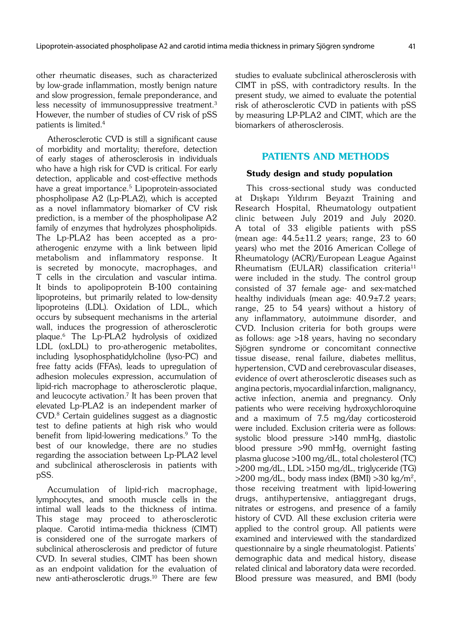other rheumatic diseases, such as characterized by low-grade inflammation, mostly benign nature and slow progression, female preponderance, and less necessity of immunosuppressive treatment.<sup>3</sup> However, the number of studies of CV risk of pSS patients is limited.4

Atherosclerotic CVD is still a significant cause of morbidity and mortality; therefore, detection of early stages of atherosclerosis in individuals who have a high risk for CVD is critical. For early detection, applicable and cost-effective methods have a great importance.<sup>5</sup> Lipoprotein-associated phospholipase A2 (Lp-PLA2), which is accepted as a novel inflammatory biomarker of CV risk prediction, is a member of the phospholipase A2 family of enzymes that hydrolyzes phospholipids. The Lp-PLA2 has been accepted as a proatherogenic enzyme with a link between lipid metabolism and inflammatory response. It is secreted by monocyte, macrophages, and T cells in the circulation and vascular intima. It binds to apolipoprotein B-100 containing lipoproteins, but primarily related to low-density lipoproteins (LDL). Oxidation of LDL, which occurs by subsequent mechanisms in the arterial wall, induces the progression of atherosclerotic plaque.6 The Lp-PLA2 hydrolysis of oxidized LDL (oxLDL) to pro-atherogenic metabolites, including lysophosphatidylcholine (lyso-PC) and free fatty acids (FFAs), leads to upregulation of adhesion molecules expression, accumulation of lipid-rich macrophage to atherosclerotic plaque, and leucocyte activation.7 It has been proven that elevated Lp-PLA2 is an independent marker of CVD.8 Certain guidelines suggest as a diagnostic test to define patients at high risk who would benefit from lipid-lowering medications.9 To the best of our knowledge, there are no studies regarding the association between Lp-PLA2 level and subclinical atherosclerosis in patients with pSS.

Accumulation of lipid-rich macrophage, lymphocytes, and smooth muscle cells in the intimal wall leads to the thickness of intima. This stage may proceed to atherosclerotic plaque. Carotid intima-media thickness (CIMT) is considered one of the surrogate markers of subclinical atherosclerosis and predictor of future CVD. In several studies, CIMT has been shown as an endpoint validation for the evaluation of new anti-atherosclerotic drugs.10 There are few studies to evaluate subclinical atherosclerosis with CIMT in pSS, with contradictory results. In the present study, we aimed to evaluate the potential risk of atherosclerotic CVD in patients with pSS by measuring LP-PLA2 and CIMT, which are the biomarkers of atherosclerosis.

# PATIENTS AND METHODS

# Study design and study population

This cross-sectional study was conducted at Dıkapı Yıldırım Beyazıt Training and Research Hospital, Rheumatology outpatient clinic between July 2019 and July 2020. A total of 33 eligible patients with pSS (mean age:  $44.5 \pm 11.2$  years; range, 23 to 60 years) who met the 2016 American College of Rheumatology (ACR)/European League Against  $R$ heumatism (EULAR) classification criteria<sup>11</sup> were included in the study. The control group consisted of 37 female age- and sex-matched healthy individuals (mean age:  $40.9\pm7.2$  years; range, 25 to 54 years) without a history of any inflammatory, autoimmune disorder, and CVD. Inclusion criteria for both groups were as follows: age >18 years, having no secondary Sjögren syndrome or concomitant connective tissue disease, renal failure, diabetes mellitus, hypertension, CVD and cerebrovascular diseases, evidence of overt atherosclerotic diseases such as angina pectoris, myocardial infarction, malignancy, active infection, anemia and pregnancy. Only patients who were receiving hydroxychloroquine and a maximum of 7.5 mg/day corticosteroid were included. Exclusion criteria were as follows: systolic blood pressure >140 mmHg, diastolic blood pressure >90 mmHg, overnight fasting plasma glucose >100 mg/dL, total cholesterol (TC) >200 mg/dL, LDL >150 mg/dL, triglyceride (TG)  $>$ 200 mg/dL, body mass index (BMI)  $>$ 30 kg/m<sup>2</sup>, those receiving treatment with lipid-lowering drugs, antihypertensive, antiaggregant drugs, nitrates or estrogens, and presence of a family history of CVD. All these exclusion criteria were applied to the control group. All patients were examined and interviewed with the standardized questionnaire by a single rheumatologist. Patients' demographic data and medical history, disease related clinical and laboratory data were recorded. Blood pressure was measured, and BMI (body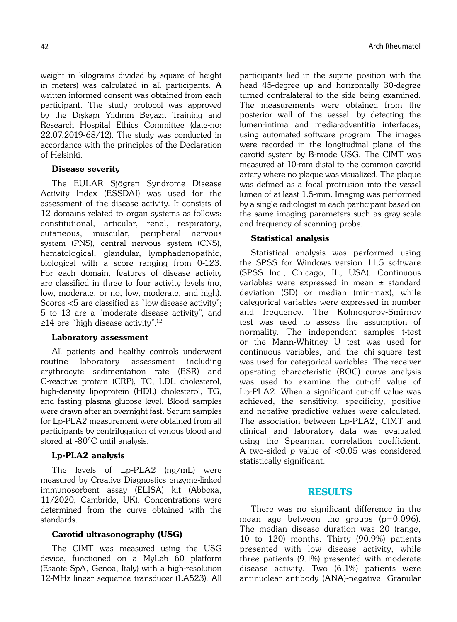weight in kilograms divided by square of height in meters) was calculated in all participants. A written informed consent was obtained from each participant. The study protocol was approved by the Dıkapı Yıldırım Beyazıt Training and Research Hospital Ethics Committee (date-no: 22.07.2019-68/12). The study was conducted in accordance with the principles of the Declaration of Helsinki.

# Disease severity

The EULAR Sjögren Syndrome Disease Activity Index (ESSDAI) was used for the assessment of the disease activity. It consists of 12 domains related to organ systems as follows: constitutional, articular, renal, respiratory, cutaneous, muscular, peripheral nervous system (PNS), central nervous system (CNS), hematological, glandular, lymphadenopathic, biological with a score ranging from 0-123. For each domain, features of disease activity are classified in three to four activity levels (no, low, moderate, or no, low, moderate, and high). Scores <5 are classified as "low disease activity"; 5 to 13 are a "moderate disease activity", and ≥14 are "high disease activity".<sup>12</sup>

## Laboratory assessment

All patients and healthy controls underwent routine laboratory assessment including erythrocyte sedimentation rate (ESR) and C-reactive protein (CRP), TC, LDL cholesterol, high-density lipoprotein (HDL) cholesterol, TG, and fasting plasma glucose level. Blood samples were drawn after an overnight fast. Serum samples for Lp-PLA2 measurement were obtained from all participants by centrifugation of venous blood and stored at -80°C until analysis.

# Lp-PLA2 analysis

The levels of Lp-PLA2 (ng/mL) were measured by Creative Diagnostics enzyme-linked immunosorbent assay (ELISA) kit (Abbexa, 11/2020, Cambride, UK). Concentrations were determined from the curve obtained with the standards.

# Carotid ultrasonography (USG)

The CIMT was measured using the USG device, functioned on a MyLab 60 platform (Esaote SpA, Genoa, Italy) with a high-resolution 12-MHz linear sequence transducer (LA523). All participants lied in the supine position with the head 45-degree up and horizontally 30-degree turned contralateral to the side being examined. The measurements were obtained from the posterior wall of the vessel, by detecting the lumen-intima and media-adventitia interfaces, using automated software program. The images were recorded in the longitudinal plane of the carotid system by B-mode USG. The CIMT was measured at 10-mm distal to the common carotid artery where no plaque was visualized. The plaque was defined as a focal protrusion into the vessel lumen of at least 1.5-mm. Imaging was performed by a single radiologist in each participant based on the same imaging parameters such as gray-scale and frequency of scanning probe.

# Statistical analysis

Statistical analysis was performed using the SPSS for Windows version 11.5 software (SPSS Inc., Chicago, IL, USA). Continuous variables were expressed in mean ± standard deviation (SD) or median (min-max), while categorical variables were expressed in number and frequency. The Kolmogorov-Smirnov test was used to assess the assumption of normality. The independent samples t-test or the Mann-Whitney U test was used for continuous variables, and the chi-square test was used for categorical variables. The receiver operating characteristic (ROC) curve analysis was used to examine the cut-off value of Lp-PLA2. When a significant cut-off value was achieved, the sensitivity, specificity, positive and negative predictive values were calculated. The association between Lp-PLA2, CIMT and clinical and laboratory data was evaluated using the Spearman correlation coefficient. A two-sided p value of <0.05 was considered statistically significant.

# RESULTS

There was no significant difference in the mean age between the groups (p=0.096). The median disease duration was 20 (range, 10 to 120) months. Thirty (90.9%) patients presented with low disease activity, while three patients (9.1%) presented with moderate disease activity. Two (6.1%) patients were antinuclear antibody (ANA)-negative. Granular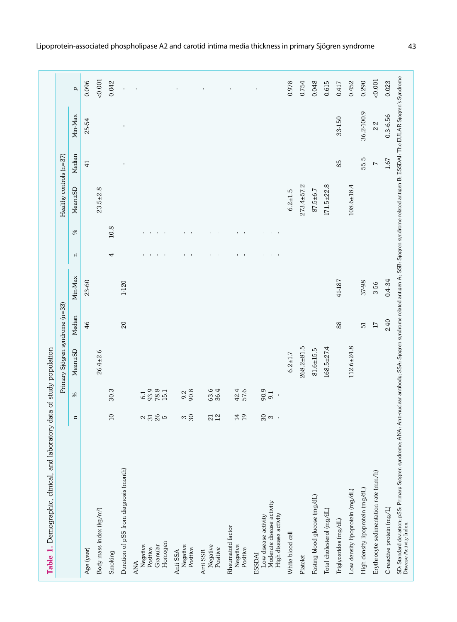|                                                                                      |                   |                             | Primary Sjögren syndrome (n=33) |        |            |                                                  |                                                   | Healthy controls (n=37) |                |              |                |
|--------------------------------------------------------------------------------------|-------------------|-----------------------------|---------------------------------|--------|------------|--------------------------------------------------|---------------------------------------------------|-------------------------|----------------|--------------|----------------|
|                                                                                      | $\Xi$             | $\%$                        | Mean±SD                         | Median | Min-Max    | $\Xi$                                            | $\gg$                                             | Mean±SD                 | Median         | Min-Max      | $\overline{a}$ |
| Age (year)                                                                           |                   |                             |                                 | 46     | 23-60      |                                                  |                                                   |                         | $\overline{4}$ | 25-54        | 0.096          |
| Body mass index (kg/m <sup>2</sup> )                                                 |                   |                             | $26.4 \pm 2.6$                  |        |            |                                                  |                                                   | $23.5 \pm 2.8$          |                |              | 0.001          |
| Smoking                                                                              | $\overline{10}$   | 30.3                        |                                 |        |            | 4                                                | $10.8$                                            |                         |                |              | 0.042          |
| Duration of pSS from diagnosis (month)                                               |                   |                             |                                 | 20     | 1-120      |                                                  |                                                   |                         | $\mathbf{I}$   | $\mathbf I$  | $\mathbf{I}$   |
| Homogen<br>Granular<br>Negative<br>Positive<br>ANA                                   | 2585              | 93.9<br>78.8<br>15.1<br>6.1 |                                 |        |            | $\mathbf{I}$<br>$\blacksquare$<br>$\mathbf{I}$   | $\mathbf{H}$<br>$\mathbf{I}$<br>٠<br>$\mathbf{I}$ |                         |                |              | $\,$           |
| Negative<br>Positive<br>Anti SSA                                                     | $\frac{30}{2}$    | 90.8                        |                                 |        |            | $1 - 1$                                          | $1 - 1$                                           |                         |                |              |                |
| Negative<br>Positive<br>Anti SSB                                                     | $\frac{21}{2}$    | 63.6                        |                                 |        |            | $\mathbf{I}$ $\mathbf{I}$                        | $1 - 1$                                           |                         |                |              | $\mathbf{I}$   |
| Rheumatoid factor<br>Negative<br>Positive                                            | 14 <sub>2</sub>   | 42.4<br>57.6                |                                 |        |            | $1 - 1$                                          | $\mathbf{I} = \mathbf{I}$                         |                         |                |              | $\mathbf{I}$   |
| Moderate disease activity<br>High disease activity<br>Low disease activity<br>ESSDAI | $\frac{2}{3}$ က ှ | 90.9                        |                                 |        |            | $\mathbf{L}_{\mathrm{c}}$<br>$\blacksquare$<br>٠ | $\sim 10-10$<br>٠                                 |                         |                |              |                |
| White blood cell                                                                     |                   |                             | $6.2 \pm 1.7$                   |        |            |                                                  |                                                   | $6.2 \pm 1.5$           |                |              | 0.978          |
| Platelet                                                                             |                   |                             | $268.2 + 81.5$                  |        |            |                                                  |                                                   | $273.4 + 57.2$          |                |              | 0.754          |
| Fasting blood glucose (mg/dL)                                                        |                   |                             | $81.6 \pm 15.5$                 |        |            |                                                  |                                                   | 87.5±6.7                |                |              | 0.048          |
| Total cholesterol (mg/dL)                                                            |                   |                             | $168.5 + 27.4$                  |        |            |                                                  |                                                   | $171.5 \pm 22.8$        |                |              | 0.615          |
| Triglycerides (mg/dL)                                                                |                   |                             |                                 | 88     | 41-187     |                                                  |                                                   |                         | 85             | 33-150       | 0.417          |
| Low density lipoprotein (mg/dL)                                                      |                   |                             | $112.6 + 24.8$                  |        |            |                                                  |                                                   | $108.6 \pm 18.4$        |                |              | 0.452          |
| High density lipoprotein (mg/dL)                                                     |                   |                             |                                 | 51     | 37-98      |                                                  |                                                   |                         | 55.5           | 36.2-100.9   | 0.290          |
| Erythrocyte sedimentation rate (mm/h)                                                |                   |                             |                                 | $17\,$ | 3-56       |                                                  |                                                   |                         | $\overline{ }$ | $2-2$        | 0.001          |
| C-reactive protein (mg/L)                                                            |                   |                             |                                 | 2.40   | $0.4 - 34$ |                                                  |                                                   |                         | 1.67           | $0.3 - 6.56$ | 0.023          |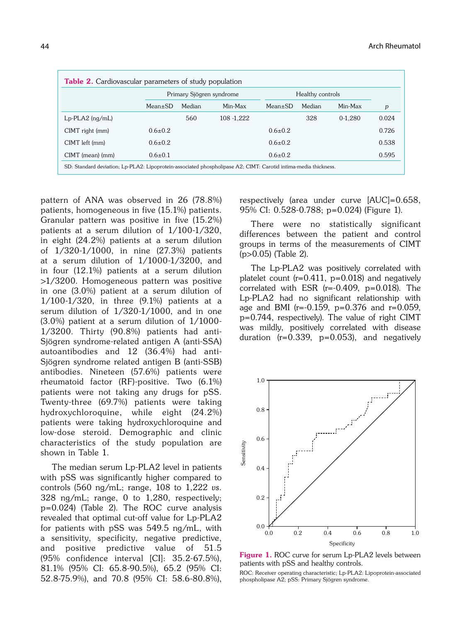|                        |               | Primary Sjögren syndrome |             |               | Healthy controls |         |       |
|------------------------|---------------|--------------------------|-------------|---------------|------------------|---------|-------|
|                        | $Mean \pm SD$ | Median                   | Min-Max     | $Mean \pm SD$ | Median           | Min-Max | p     |
| $Lp$ -PLA2 ( $nq/mL$ ) |               | 560                      | 108 - 1.222 |               | 328              | 0-1.280 | 0.024 |
| CIMT right (mm)        | $0.6 \pm 0.2$ |                          |             | $0.6 \pm 0.2$ |                  |         | 0.726 |
| CIMT left (mm)         | $0.6 \pm 0.2$ |                          |             | $0.6 \pm 0.2$ |                  |         | 0.538 |
| CIMT (mean) (mm)       | $0.6{\pm}0.1$ |                          |             | $0.6 \pm 0.2$ |                  |         | 0.595 |

pattern of ANA was observed in 26 (78.8%) patients, homogeneous in five (15.1%) patients. Granular pattern was positive in five (15.2%) patients at a serum dilution of 1/100-1/320, in eight (24.2%) patients at a serum dilution of 1/320-1/1000, in nine (27.3%) patients at a serum dilution of 1/1000-1/3200, and in four (12.1%) patients at a serum dilution >1/3200. Homogeneous pattern was positive in one (3.0%) patient at a serum dilution of 1/100-1/320, in three (9.1%) patients at a serum dilution of 1/320-1/1000, and in one  $(3.0\%)$  patient at a serum dilution of  $1/1000$ -1/3200. Thirty (90.8%) patients had anti-Sjögren syndrome-related antigen A (anti-SSA) autoantibodies and 12 (36.4%) had anti-Sjögren syndrome related antigen B (anti-SSB) antibodies. Nineteen (57.6%) patients were rheumatoid factor (RF)-positive. Two (6.1%) patients were not taking any drugs for pSS. Twenty-three (69.7%) patients were taking hydroxychloroquine, while eight (24.2%) patients were taking hydroxychloroquine and low-dose steroid. Demographic and clinic characteristics of the study population are shown in Table 1.

The median serum Lp-PLA2 level in patients with pSS was significantly higher compared to controls  $(560 \text{ ng/mL}; \text{ range}, 108 \text{ to } 1,222 \text{ vs.})$ 328 ng/mL; range, 0 to 1,280, respectively; p=0.024) (Table 2). The ROC curve analysis revealed that optimal cut-off value for Lp-PLA2 for patients with pSS was 549.5 ng/mL, with a sensitivity, specificity, negative predictive, and positive predictive value of 51.5 (95% confidence interval [CI]: 35.2-67.5%), 81.1% (95% CI: 65.8-90.5%), 65.2 (95% CI: 52.8-75.9%), and 70.8 (95% CI: 58.6-80.8%),

respectively (area under curve [AUC]=0.658, 95% CI: 0.528-0.788; p=0.024) (Figure 1).

There were no statistically significant differences between the patient and control groups in terms of the measurements of CIMT (p>0.05) (Table 2).

The Lp-PLA2 was positively correlated with platelet count ( $r=0.411$ ,  $p=0.018$ ) and negatively correlated with ESR (r=-0.409, p=0.018). The Lp-PLA2 had no significant relationship with age and BMI ( $r=-0.159$ ,  $p=0.376$  and  $r=0.059$ , p=0.744, respectively). The value of right CIMT was mildly, positively correlated with disease duration  $(r=0.339, p=0.053)$ , and negatively



Figure 1. ROC curve for serum Lp-PLA2 levels between patients with pSS and healthy controls.

ROC: Receiver operating characteristic; Lp-PLA2: Lipoprotein-associated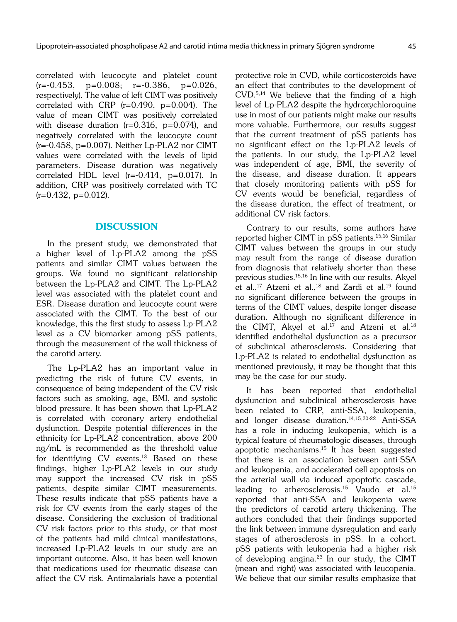correlated with leucocyte and platelet count  $(r=-0.453, p=0.008; r=-0.386, p=0.026,$ respectively). The value of left CIMT was positively correlated with CRP (r=0.490, p=0.004). The value of mean CIMT was positively correlated with disease duration  $(r=0.316, p=0.074)$ , and negatively correlated with the leucocyte count  $(r=-0.458, p=0.007)$ . Neither Lp-PLA2 nor CIMT values were correlated with the levels of lipid parameters. Disease duration was negatively correlated HDL level (r=-0.414, p=0.017). In addition, CRP was positively correlated with TC  $(r=0.432, p=0.012)$ .

# **DISCUSSION**

In the present study, we demonstrated that a higher level of Lp-PLA2 among the pSS patients and similar CIMT values between the groups. We found no significant relationship between the Lp-PLA2 and CIMT. The Lp-PLA2 level was associated with the platelet count and ESR. Disease duration and leucocyte count were associated with the CIMT. To the best of our knowledge, this the first study to assess Lp-PLA2 level as a CV biomarker among pSS patients, through the measurement of the wall thickness of the carotid artery.

The Lp-PLA2 has an important value in predicting the risk of future CV events, in consequence of being independent of the CV risk factors such as smoking, age, BMI, and systolic blood pressure. It has been shown that Lp-PLA2 is correlated with coronary artery endothelial dysfunction. Despite potential differences in the ethnicity for Lp-PLA2 concentration, above 200 ng/mL is recommended as the threshold value for identifying CV events.13 Based on these findings, higher Lp-PLA2 levels in our study may support the increased CV risk in pSS patients, despite similar CIMT measurements. These results indicate that pSS patients have a risk for CV events from the early stages of the disease. Considering the exclusion of traditional CV risk factors prior to this study, or that most of the patients had mild clinical manifestations, increased Lp-PLA2 levels in our study are an important outcome. Also, it has been well known that medications used for rheumatic disease can affect the CV risk. Antimalarials have a potential protective role in CVD, while corticosteroids have an effect that contributes to the development of CVD.5,14 We believe that the finding of a high level of Lp-PLA2 despite the hydroxychloroquine use in most of our patients might make our results more valuable. Furthermore, our results suggest that the current treatment of pSS patients has no significant effect on the Lp-PLA2 levels of the patients. In our study, the Lp-PLA2 level was independent of age, BMI, the severity of the disease, and disease duration. It appears that closely monitoring patients with pSS for CV events would be beneficial, regardless of the disease duration, the effect of treatment, or additional CV risk factors.

Contrary to our results, some authors have reported higher CIMT in pSS patients.15,16 Similar CIMT values between the groups in our study may result from the range of disease duration from diagnosis that relatively shorter than these previous studies.15,16 In line with our results, Akyel et al.,<sup>17</sup> Atzeni et al.,<sup>18</sup> and Zardi et al.<sup>19</sup> found no significant difference between the groups in terms of the CIMT values, despite longer disease duration. Although no significant difference in the CIMT, Akyel et al.<sup>17</sup> and Atzeni et al.<sup>18</sup> identified endothelial dysfunction as a precursor of subclinical atherosclerosis. Considering that Lp-PLA2 is related to endothelial dysfunction as mentioned previously, it may be thought that this may be the case for our study.

It has been reported that endothelial dysfunction and subclinical atherosclerosis have been related to CRP, anti-SSA, leukopenia, and longer disease duration.14,15,20-22 Anti-SSA has a role in inducing leukopenia, which is a typical feature of rheumatologic diseases, through apoptotic mechanisms.15 It has been suggested that there is an association between anti-SSA and leukopenia, and accelerated cell apoptosis on the arterial wall via induced apoptotic cascade, leading to atherosclerosis.<sup>15</sup> Vaudo et al.<sup>15</sup> reported that anti-SSA and leukopenia were the predictors of carotid artery thickening. The authors concluded that their findings supported the link between immune dysregulation and early stages of atherosclerosis in pSS. In a cohort, pSS patients with leukopenia had a higher risk of developing angina.<sup>23</sup> In our study, the CIMT (mean and right) was associated with leucopenia. We believe that our similar results emphasize that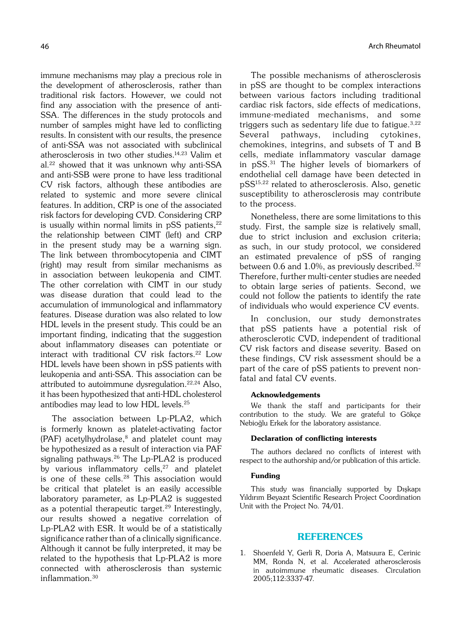immune mechanisms may play a precious role in the development of atherosclerosis, rather than traditional risk factors. However, we could not find any association with the presence of anti-SSA. The differences in the study protocols and number of samples might have led to conflicting results. In consistent with our results, the presence of anti-SSA was not associated with subclinical atherosclerosis in two other studies.14,23 Valim et al.22 showed that it was unknown why anti-SSA and anti-SSB were prone to have less traditional CV risk factors, although these antibodies are related to systemic and more severe clinical features. In addition, CRP is one of the associated risk factors for developing CVD. Considering CRP is usually within normal limits in  $pSS$  patients, $22$ the relationship between CIMT (left) and CRP in the present study may be a warning sign. The link between thrombocytopenia and CIMT (right) may result from similar mechanisms as in association between leukopenia and CIMT. The other correlation with CIMT in our study was disease duration that could lead to the accumulation of immunological and inflammatory features. Disease duration was also related to low HDL levels in the present study. This could be an important finding, indicating that the suggestion about inflammatory diseases can potentiate or interact with traditional CV risk factors.<sup>22</sup> Low HDL levels have been shown in pSS patients with leukopenia and anti-SSA. This association can be attributed to autoimmune dysregulation.<sup>22,24</sup> Also, it has been hypothesized that anti-HDL cholesterol antibodies may lead to low HDL levels.25

The association between Lp-PLA2, which is formerly known as platelet-activating factor (PAF) acetylhydrolase, $8$  and platelet count may be hypothesized as a result of interaction via PAF signaling pathways.<sup>26</sup> The Lp-PLA2 is produced by various inflammatory cells,<sup>27</sup> and platelet is one of these cells.<sup>28</sup> This association would be critical that platelet is an easily accessible laboratory parameter, as Lp-PLA2 is suggested as a potential therapeutic target.<sup>29</sup> Interestingly, our results showed a negative correlation of Lp-PLA2 with ESR. It would be of a statistically significance rather than of a clinically significance. Although it cannot be fully interpreted, it may be related to the hypothesis that Lp-PLA2 is more connected with atherosclerosis than systemic inflammation.30

The possible mechanisms of atherosclerosis in pSS are thought to be complex interactions between various factors including traditional cardiac risk factors, side effects of medications, immune-mediated mechanisms, and some triggers such as sedentary life due to fatigue.  $3,22$ Several pathways, including cytokines, chemokines, integrins, and subsets of T and B cells, mediate inflammatory vascular damage in pSS.31 The higher levels of biomarkers of endothelial cell damage have been detected in pSS15,22 related to atherosclerosis. Also, genetic susceptibility to atherosclerosis may contribute to the process.

Nonetheless, there are some limitations to this study. First, the sample size is relatively small, due to strict inclusion and exclusion criteria; as such, in our study protocol, we considered an estimated prevalence of pSS of ranging between 0.6 and 1.0%, as previously described.<sup>32</sup> Therefore, further multi-center studies are needed to obtain large series of patients. Second, we could not follow the patients to identify the rate of individuals who would experience CV events.

In conclusion, our study demonstrates that pSS patients have a potential risk of atherosclerotic CVD, independent of traditional CV risk factors and disease severity. Based on these findings, CV risk assessment should be a part of the care of pSS patients to prevent nonfatal and fatal CV events.

## Acknowledgements

We thank the staff and participants for their contribution to the study. We are grateful to Gökçe Nebioğlu Erkek for the laboratory assistance.

## Declaration of conflicting interests

The authors declared no conflicts of interest with respect to the authorship and/or publication of this article.

## Funding

This study was financially supported by Diskapi Yıldırım Beyazıt Scientific Research Project Coordination Unit with the Project No. 74/01.

# REFERENCES

1. Shoenfeld Y, Gerli R, Doria A, Matsuura E, Cerinic MM, Ronda N, et al. Accelerated atherosclerosis in autoimmune rheumatic diseases. Circulation 2005;112:3337-47.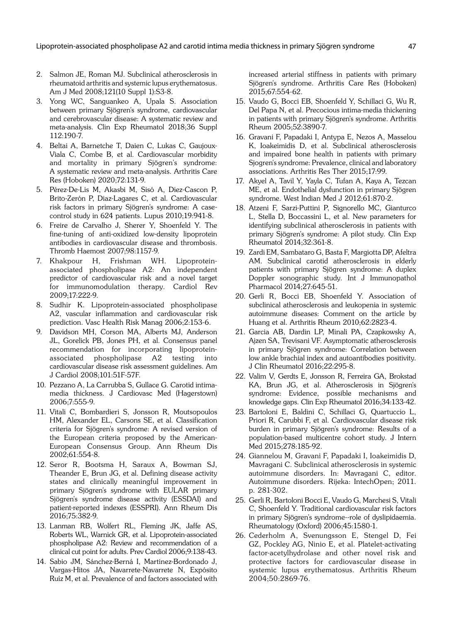Lipoprotein-associated phospholipase A2 and carotid intima media thickness in primary Sjögren syndrome 47

- 2. Salmon JE, Roman MJ. Subclinical atherosclerosis in rheumatoid arthritis and systemic lupus erythematosus. Am J Med 2008;121(10 Suppl 1):S3-8.
- 3. Yong WC, Sanguankeo A, Upala S. Association between primary Sjögren's syndrome, cardiovascular and cerebrovascular disease: A systematic review and meta-analysis. Clin Exp Rheumatol 2018;36 Suppl 112:190-7.
- 4. Beltai A, Barnetche T, Daien C, Lukas C, Gaujoux-Viala C, Combe B, et al. Cardiovascular morbidity and mortality in primary Sjögren's syndrome: A systematic review and meta-analysis. Arthritis Care Res (Hoboken) 2020;72:131-9.
- 5. Pérez-De-Lis M, Akasbi M, Sisó A, Diez-Cascon P, Brito-Zerón P, Diaz-Lagares C, et al. Cardiovascular risk factors in primary Sjögren's syndrome: A casecontrol study in 624 patients. Lupus 2010;19:941-8.
- 6. Freire de Carvalho J, Sherer Y, Shoenfeld Y. The fine-tuning of anti-oxidized low-density lipoprotein antibodies in cardiovascular disease and thrombosis. Thromb Haemost 2007;98:1157-9.
- 7. Khakpour H, Frishman WH. Lipoproteinassociated phospholipase A2: An independent predictor of cardiovascular risk and a novel target for immunomodulation therapy. Cardiol Rev 2009;17:222-9.
- 8. Sudhir K. Lipoprotein-associated phospholipase A2, vascular inflammation and cardiovascular risk prediction. Vasc Health Risk Manag 2006;2:153-6.
- 9. Davidson MH, Corson MA, Alberts MJ, Anderson JL, Gorelick PB, Jones PH, et al. Consensus panel recommendation for incorporating lipoproteinassociated phospholipase A2 testing into cardiovascular disease risk assessment guidelines. Am J Cardiol 2008;101:51F-57F.
- 10. Pezzano A, La Carrubba S, Gullace G. Carotid intimamedia thickness. J Cardiovasc Med (Hagerstown) 2006;7:555-9.
- 11. Vitali C, Bombardieri S, Jonsson R, Moutsopoulos HM, Alexander EL, Carsons SE, et al. Classification criteria for Sjögren's syndrome: A revised version of the European criteria proposed by the American-European Consensus Group. Ann Rheum Dis 2002;61:554-8.
- 12. Seror R, Bootsma H, Saraux A, Bowman SJ, Theander E, Brun JG, et al. Defining disease activity states and clinically meaningful improvement in primary Sjögren's syndrome with EULAR primary Sjögren's syndrome disease activity (ESSDAI) and patient-reported indexes (ESSPRI). Ann Rheum Dis 2016;75:382-9.
- 13. Lanman RB, Wolfert RL, Fleming JK, Jaffe AS, Roberts WL, Warnick GR, et al. Lipoprotein-associated phospholipase A2: Review and recommendation of a clinical cut point for adults. Prev Cardiol 2006;9:138-43.
- 14. Sabio JM, Sánchez-Berná I, Martinez-Bordonado J, Vargas-Hitos JA, Navarrete-Navarrete N, Expósito Ruíz M, et al. Prevalence of and factors associated with

increased arterial stiffness in patients with primary Sjögren's syndrome. Arthritis Care Res (Hoboken) 2015;67:554-62.

- 15. Vaudo G, Bocci EB, Shoenfeld Y, Schillaci G, Wu R, Del Papa N, et al. Precocious intima-media thickening in patients with primary Sjögren's syndrome. Arthritis Rheum 2005;52:3890-7.
- 16. Gravani F, Papadaki I, Antypa E, Nezos A, Masselou K, Ioakeimidis D, et al. Subclinical atherosclerosis and impaired bone health in patients with primary Sjogren's syndrome: Prevalence, clinical and laboratory associations. Arthritis Res Ther 2015;17:99.
- 17. Akyel A, Tavil Y, Yayla C, Tufan A, Kaya A, Tezcan ME, et al. Endothelial dysfunction in primary Sjögren syndrome. West Indian Med J 2012;61:870-2.
- 18. Atzeni F, Sarzi-Puttini P, Signorello MC, Gianturco L, Stella D, Boccassini L, et al. New parameters for identifying subclinical atherosclerosis in patients with primary Sjögren's syndrome: A pilot study. Clin Exp Rheumatol 2014;32:361-8.
- 19. Zardi EM, Sambataro G, Basta F, Margiotta DP, Afeltra AM. Subclinical carotid atherosclerosis in elderly patients with primary Sjögren syndrome: A duplex Doppler sonographic study. Int J Immunopathol Pharmacol 2014;27:645-51.
- 20. Gerli R, Bocci EB, Shoenfeld Y. Association of subclinical atherosclerosis and leukopenia in systemic autoimmune diseases: Comment on the article by Huang et al. Arthritis Rheum 2010;62:2823-4.
- 21. Garcia AB, Dardin LP, Minali PA, Czapkowsky A, Ajzen SA, Trevisani VF. Asymptomatic atherosclerosis in primary Sjögren syndrome: Correlation between low ankle brachial index and autoantibodies positivity. J Clin Rheumatol 2016;22:295-8.
- 22. Valim V, Gerdts E, Jonsson R, Ferreira GA, Brokstad KA, Brun JG, et al. Atherosclerosis in Sjögren's syndrome: Evidence, possible mechanisms and knowledge gaps. Clin Exp Rheumatol 2016;34:133-42.
- 23. Bartoloni E, Baldini C, Schillaci G, Quartuccio L, Priori R, Carubbi F, et al. Cardiovascular disease risk burden in primary Sjögren's syndrome: Results of a population-based multicentre cohort study. J Intern Med 2015;278:185-92.
- 24. Giannelou M, Gravani F, Papadaki I, Ioakeimidis D, Mavragani C. Subclinical atherosclerosis in systemic autoimmune disorders. In: Mavragani C, editor. Autoimmune disorders. Rijeka: IntechOpen; 2011. p. 281-302.
- 25. Gerli R, Bartoloni Bocci E, Vaudo G, Marchesi S, Vitali C, Shoenfeld Y. Traditional cardiovascular risk factors in primary Sjögren's syndrome--role of dyslipidaemia. Rheumatology (Oxford) 2006;45:1580-1.
- 26. Cederholm A, Svenungsson E, Stengel D, Fei GZ, Pockley AG, Ninio E, et al. Platelet-activating factor-acetylhydrolase and other novel risk and protective factors for cardiovascular disease in systemic lupus erythematosus. Arthritis Rheum 2004;50:2869-76.